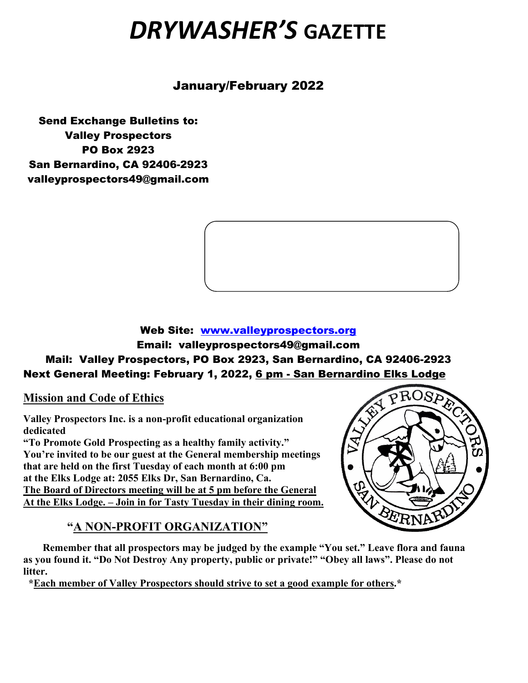# *DRYWASHER'S* **GAZETTE**

January/February 2022

Send Exchange Bulletins to: Valley Prospectors PO Box 2923 San Bernardino, CA 92406-2923 valleyprospectors49@gmail.com



#### Web Site: [www.valleyprospectors.org](http://www.valleyprospectors.org/) Email: valleyprospectors49@gmail.com Mail: Valley Prospectors, PO Box 2923, San Bernardino, CA 92406-2923 Next General Meeting: February 1, 2022, 6 pm - San Bernardino Elks Lodge

**Mission and Code of Ethics**

**Valley Prospectors Inc. is a non-profit educational organization dedicated**

**"To Promote Gold Prospecting as a healthy family activity." You're invited to be our guest at the General membership meetings that are held on the first Tuesday of each month at 6:00 pm at the Elks Lodge at: 2055 Elks Dr, San Bernardino, Ca. The Board of Directors meeting will be at 5 pm before the General At the Elks Lodge. – Join in for Tasty Tuesday in their dining room.**

## **"A NON-PROFIT ORGANIZATION"**



 **Remember that all prospectors may be judged by the example "You set." Leave flora and fauna as you found it. "Do Not Destroy Any property, public or private!" "Obey all laws". Please do not litter.**

 **\*Each member of Valley Prospectors should strive to set a good example for others.\***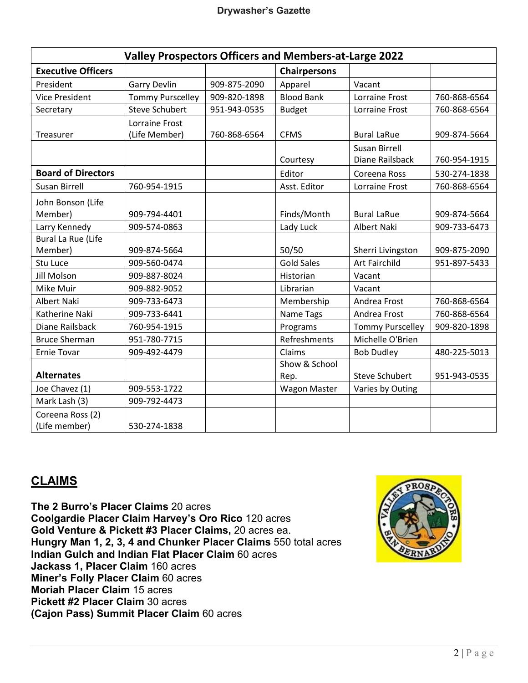| <b>Valley Prospectors Officers and Members-at-Large 2022</b> |                         |              |                     |                         |              |
|--------------------------------------------------------------|-------------------------|--------------|---------------------|-------------------------|--------------|
| <b>Executive Officers</b>                                    |                         |              | <b>Chairpersons</b> |                         |              |
| President                                                    | <b>Garry Devlin</b>     | 909-875-2090 | Apparel             | Vacant                  |              |
| <b>Vice President</b>                                        | <b>Tommy Purscelley</b> | 909-820-1898 | <b>Blood Bank</b>   | Lorraine Frost          | 760-868-6564 |
| Secretary                                                    | <b>Steve Schubert</b>   | 951-943-0535 | <b>Budget</b>       | <b>Lorraine Frost</b>   | 760-868-6564 |
|                                                              | Lorraine Frost          |              |                     |                         |              |
| Treasurer                                                    | (Life Member)           | 760-868-6564 | <b>CFMS</b>         | <b>Bural LaRue</b>      | 909-874-5664 |
|                                                              |                         |              |                     | Susan Birrell           |              |
|                                                              |                         |              | Courtesy            | Diane Railsback         | 760-954-1915 |
| <b>Board of Directors</b>                                    |                         |              | Editor              | Coreena Ross            | 530-274-1838 |
| <b>Susan Birrell</b>                                         | 760-954-1915            |              | Asst. Editor        | <b>Lorraine Frost</b>   | 760-868-6564 |
| John Bonson (Life                                            |                         |              |                     |                         |              |
| Member)                                                      | 909-794-4401            |              | Finds/Month         | <b>Bural LaRue</b>      | 909-874-5664 |
| Larry Kennedy                                                | 909-574-0863            |              | Lady Luck           | <b>Albert Naki</b>      | 909-733-6473 |
| <b>Bural La Rue (Life</b>                                    |                         |              |                     |                         |              |
| Member)                                                      | 909-874-5664            |              | 50/50               | Sherri Livingston       | 909-875-2090 |
| Stu Luce                                                     | 909-560-0474            |              | <b>Gold Sales</b>   | <b>Art Fairchild</b>    | 951-897-5433 |
| <b>Jill Molson</b>                                           | 909-887-8024            |              | Historian           | Vacant                  |              |
| Mike Muir                                                    | 909-882-9052            |              | Librarian           | Vacant                  |              |
| <b>Albert Naki</b>                                           | 909-733-6473            |              | Membership          | Andrea Frost            | 760-868-6564 |
| Katherine Naki                                               | 909-733-6441            |              | Name Tags           | Andrea Frost            | 760-868-6564 |
| Diane Railsback                                              | 760-954-1915            |              | Programs            | <b>Tommy Purscelley</b> | 909-820-1898 |
| <b>Bruce Sherman</b>                                         | 951-780-7715            |              | Refreshments        | Michelle O'Brien        |              |
| <b>Ernie Tovar</b>                                           | 909-492-4479            |              | Claims              | <b>Bob Dudley</b>       | 480-225-5013 |
|                                                              |                         |              | Show & School       |                         |              |
| <b>Alternates</b>                                            |                         |              | Rep.                | <b>Steve Schubert</b>   | 951-943-0535 |
| Joe Chavez (1)                                               | 909-553-1722            |              | <b>Wagon Master</b> | Varies by Outing        |              |
| Mark Lash (3)                                                | 909-792-4473            |              |                     |                         |              |
| Coreena Ross (2)                                             |                         |              |                     |                         |              |
| (Life member)                                                | 530-274-1838            |              |                     |                         |              |

#### **CLAIMS**

**The 2 Burro's Placer Claims** 20 acres **Coolgardie Placer Claim Harvey's Oro Rico** 120 acres **Gold Venture & Pickett #3 Placer Claims,** 20 acres ea. **Hungry Man 1, 2, 3, 4 and Chunker Placer Claims** 550 total acres **Indian Gulch and Indian Flat Placer Claim** 60 acres **Jackass 1, Placer Claim** 160 acres **Miner's Folly Placer Claim** 60 acres **Moriah Placer Claim** 15 acres **Pickett #2 Placer Claim** 30 acres **(Cajon Pass) Summit Placer Claim** 60 acres

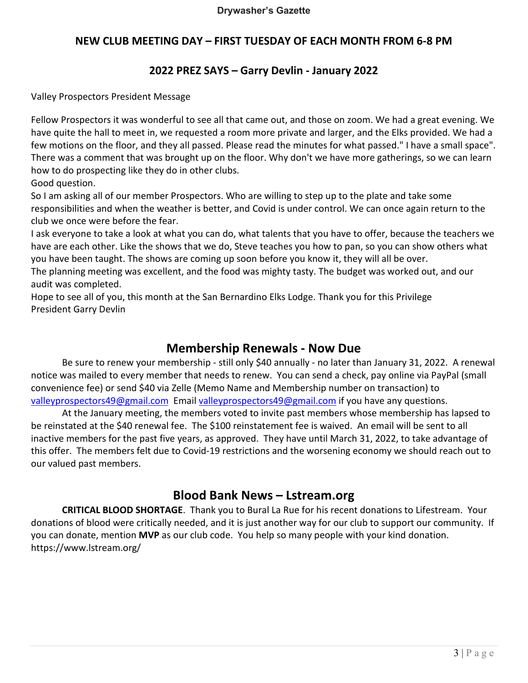#### **NEW CLUB MEETING DAY – FIRST TUESDAY OF EACH MONTH FROM 6-8 PM**

#### **2022 PREZ SAYS – Garry Devlin - January 2022**

Valley Prospectors President Message

Fellow Prospectors it was wonderful to see all that came out, and those on zoom. We had a great evening. We have quite the hall to meet in, we requested a room more private and larger, and the Elks provided. We had a few motions on the floor, and they all passed. Please read the minutes for what passed." I have a small space". There was a comment that was brought up on the floor. Why don't we have more gatherings, so we can learn how to do prospecting like they do in other clubs.

Good question.

So I am asking all of our member Prospectors. Who are willing to step up to the plate and take some responsibilities and when the weather is better, and Covid is under control. We can once again return to the club we once were before the fear.

I ask everyone to take a look at what you can do, what talents that you have to offer, because the teachers we have are each other. Like the shows that we do, Steve teaches you how to pan, so you can show others what you have been taught. The shows are coming up soon before you know it, they will all be over.

The planning meeting was excellent, and the food was mighty tasty. The budget was worked out, and our audit was completed.

Hope to see all of you, this month at the San Bernardino Elks Lodge. Thank you for this Privilege President Garry Devlin

#### **Membership Renewals - Now Due**

Be sure to renew your membership - still only \$40 annually - no later than January 31, 2022. A renewal notice was mailed to every member that needs to renew. You can send a check, pay online via PayPal (small convenience fee) or send \$40 via Zelle (Memo Name and Membership number on transaction) to [valleyprospectors49@gmail.com](mailto:valleyprospectors49@gmail.com) Email [valleyprospectors49@gmail.com](mailto:valleyprospectors49@gmail.com) if you have any questions.

At the January meeting, the members voted to invite past members whose membership has lapsed to be reinstated at the \$40 renewal fee. The \$100 reinstatement fee is waived. An email will be sent to all inactive members for the past five years, as approved. They have until March 31, 2022, to take advantage of this offer. The members felt due to Covid-19 restrictions and the worsening economy we should reach out to our valued past members.

#### **Blood Bank News – Lstream.org**

**CRITICAL BLOOD SHORTAGE**. Thank you to Bural La Rue for his recent donations to Lifestream. Your donations of blood were critically needed, and it is just another way for our club to support our community. If you can donate, mention **MVP** as our club code. You help so many people with your kind donation. https://www.lstream.org/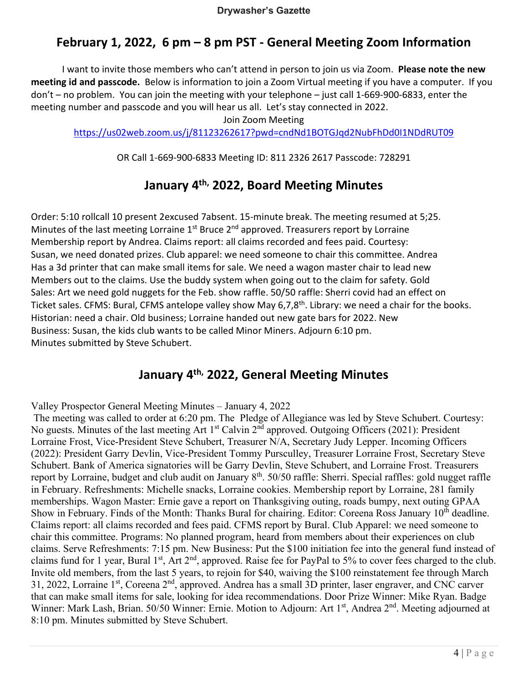## **February 1, 2022, 6 pm – 8 pm PST - General Meeting Zoom Information**

I want to invite those members who can't attend in person to join us via Zoom. **Please note the new meeting id and passcode.** Below is information to join a Zoom Virtual meeting if you have a computer. If you don't – no problem. You can join the meeting with your telephone – just call 1-669-900-6833, enter the meeting number and passcode and you will hear us all. Let's stay connected in 2022.

Join Zoom Meeting

<https://us02web.zoom.us/j/81123262617?pwd=cndNd1BOTGJqd2NubFhDd0I1NDdRUT09>

OR Call 1-669-900-6833 Meeting ID: 811 2326 2617 Passcode: 728291

#### **January 4th, 2022, Board Meeting Minutes**

Order: 5:10 rollcall 10 present 2excused 7absent. 15-minute break. The meeting resumed at 5;25. Minutes of the last meeting Lorraine  $1<sup>st</sup>$  Bruce  $2<sup>nd</sup>$  approved. Treasurers report by Lorraine Membership report by Andrea. Claims report: all claims recorded and fees paid. Courtesy: Susan, we need donated prizes. Club apparel: we need someone to chair this committee. Andrea Has a 3d printer that can make small items for sale. We need a wagon master chair to lead new Members out to the claims. Use the buddy system when going out to the claim for safety. Gold Sales: Art we need gold nuggets for the Feb. show raffle. 50/50 raffle: Sherri covid had an effect on Ticket sales. CFMS: Bural, CFMS antelope valley show May 6,7,8<sup>th</sup>. Library: we need a chair for the books. Historian: need a chair. Old business; Lorraine handed out new gate bars for 2022. New Business: Susan, the kids club wants to be called Minor Miners. Adjourn 6:10 pm. Minutes submitted by Steve Schubert.

#### **January 4th, 2022, General Meeting Minutes**

Valley Prospector General Meeting Minutes – January 4, 2022

The meeting was called to order at 6:20 pm. The Pledge of Allegiance was led by Steve Schubert. Courtesy: No guests. Minutes of the last meeting Art  $1<sup>st</sup>$  Calvin  $2<sup>nd</sup>$  approved. Outgoing Officers (2021): President Lorraine Frost, Vice-President Steve Schubert, Treasurer N/A, Secretary Judy Lepper. Incoming Officers (2022): President Garry Devlin, Vice-President Tommy Pursculley, Treasurer Lorraine Frost, Secretary Steve Schubert. Bank of America signatories will be Garry Devlin, Steve Schubert, and Lorraine Frost. Treasurers report by Lorraine, budget and club audit on January  $8<sup>th</sup>$ . 50/50 raffle: Sherri. Special raffles: gold nugget raffle in February. Refreshments: Michelle snacks, Lorraine cookies. Membership report by Lorraine, 281 family memberships. Wagon Master: Ernie gave a report on Thanksgiving outing, roads bumpy, next outing GPAA Show in February. Finds of the Month: Thanks Bural for chairing. Editor: Coreena Ross January 10<sup>th</sup> deadline. Claims report: all claims recorded and fees paid. CFMS report by Bural. Club Apparel: we need someone to chair this committee. Programs: No planned program, heard from members about their experiences on club claims. Serve Refreshments: 7:15 pm. New Business: Put the \$100 initiation fee into the general fund instead of claims fund for 1 year, Bural 1<sup>st</sup>, Art  $2<sup>nd</sup>$ , approved. Raise fee for PayPal to 5% to cover fees charged to the club. Invite old members, from the last 5 years, to rejoin for \$40, waiving the \$100 reinstatement fee through March 31, 2022, Lorraine 1st, Coreena 2nd, approved. Andrea has a small 3D printer, laser engraver, and CNC carver that can make small items for sale, looking for idea recommendations. Door Prize Winner: Mike Ryan. Badge Winner: Mark Lash, Brian. 50/50 Winner: Ernie. Motion to Adjourn: Art 1<sup>st</sup>, Andrea 2<sup>nd</sup>. Meeting adjourned at 8:10 pm. Minutes submitted by Steve Schubert.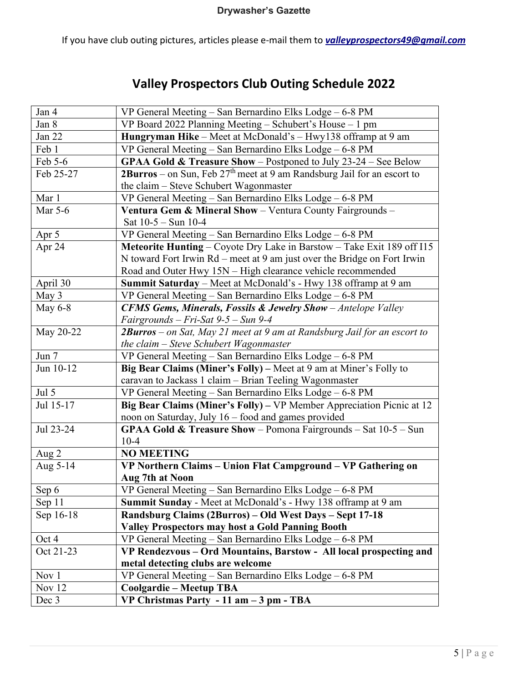If you have club outing pictures, articles please e-mail them to *valleyprospectors49@gmail.com*

## **Valley Prospectors Club Outing Schedule 2022**

| Jan 4          | VP General Meeting - San Bernardino Elks Lodge - 6-8 PM                     |  |  |
|----------------|-----------------------------------------------------------------------------|--|--|
| Jan 8          | VP Board 2022 Planning Meeting - Schubert's House - 1 pm                    |  |  |
| Jan 22         | Hungryman Hike - Meet at McDonald's - Hwy138 offramp at 9 am                |  |  |
| Feb 1          | VP General Meeting - San Bernardino Elks Lodge - 6-8 PM                     |  |  |
| Feb 5-6        | GPAA Gold & Treasure Show - Postponed to July 23-24 - See Below             |  |  |
| Feb 25-27      | $2Burros$ – on Sun, Feb $27th$ meet at 9 am Randsburg Jail for an escort to |  |  |
|                | the claim – Steve Schubert Wagonmaster                                      |  |  |
| Mar 1          | VP General Meeting - San Bernardino Elks Lodge - 6-8 PM                     |  |  |
| Mar 5-6        | Ventura Gem & Mineral Show - Ventura County Fairgrounds -                   |  |  |
|                | Sat $10-5 - Sun$ 10-4                                                       |  |  |
| Apr 5          | VP General Meeting - San Bernardino Elks Lodge - 6-8 PM                     |  |  |
| Apr 24         | Meteorite Hunting – Coyote Dry Lake in Barstow – Take Exit 189 off I15      |  |  |
|                | N toward Fort Irwin Rd – meet at 9 am just over the Bridge on Fort Irwin    |  |  |
|                | Road and Outer Hwy 15N - High clearance vehicle recommended                 |  |  |
| April 30       | Summit Saturday – Meet at McDonald's - Hwy 138 offramp at 9 am              |  |  |
| May 3          | VP General Meeting - San Bernardino Elks Lodge - 6-8 PM                     |  |  |
| <b>May 6-8</b> | <b>CFMS Gems, Minerals, Fossils &amp; Jewelry Show</b> - Antelope Valley    |  |  |
|                | Fairgrounds - Fri-Sat 9-5 - Sun 9-4                                         |  |  |
| May 20-22      | 2Burros - on Sat, May 21 meet at 9 am at Randsburg Jail for an escort to    |  |  |
|                | the claim $-$ Steve Schubert Wagonmaster                                    |  |  |
| Jun 7          | VP General Meeting - San Bernardino Elks Lodge - 6-8 PM                     |  |  |
| Jun $10-12$    | Big Bear Claims (Miner's Folly) – Meet at 9 am at Miner's Folly to          |  |  |
|                | caravan to Jackass 1 claim - Brian Teeling Wagonmaster                      |  |  |
| Jul 5          | VP General Meeting - San Bernardino Elks Lodge - 6-8 PM                     |  |  |
| Jul 15-17      | Big Bear Claims (Miner's Folly) – VP Member Appreciation Picnic at 12       |  |  |
|                | noon on Saturday, July 16 - food and games provided                         |  |  |
| Jul 23-24      | GPAA Gold & Treasure Show - Pomona Fairgrounds - Sat 10-5 - Sun             |  |  |
|                | $10-4$                                                                      |  |  |
| Aug 2          | <b>NO MEETING</b>                                                           |  |  |
| Aug 5-14       | VP Northern Claims - Union Flat Campground - VP Gathering on                |  |  |
|                | Aug 7th at Noon                                                             |  |  |
| Sep 6          | VP General Meeting - San Bernardino Elks Lodge - 6-8 PM                     |  |  |
| Sep 11         | Summit Sunday - Meet at McDonald's - Hwy 138 offramp at 9 am                |  |  |
| Sep 16-18      | Randsburg Claims (2Burros) – Old West Days – Sept 17-18                     |  |  |
|                | <b>Valley Prospectors may host a Gold Panning Booth</b>                     |  |  |
| Oct 4          | VP General Meeting - San Bernardino Elks Lodge - 6-8 PM                     |  |  |
| Oct 21-23      | VP Rendezvous - Ord Mountains, Barstow - All local prospecting and          |  |  |
|                | metal detecting clubs are welcome                                           |  |  |
| Nov 1          | VP General Meeting - San Bernardino Elks Lodge - 6-8 PM                     |  |  |
| Nov 12         | <b>Coolgardie - Meetup TBA</b>                                              |  |  |
| Dec 3          | VP Christmas Party - 11 am $-3$ pm - TBA                                    |  |  |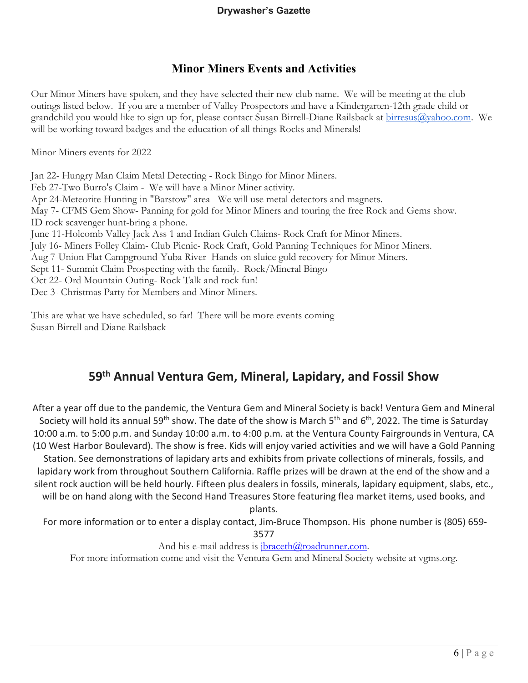#### **Minor Miners Events and Activities**

Our Minor Miners have spoken, and they have selected their new club name. We will be meeting at the club outings listed below. If you are a member of Valley Prospectors and have a Kindergarten-12th grade child or grandchild you would like to sign up for, please contact Susan Birrell-Diane Railsback at [birresus@yahoo.com.](mailto:birresus@yahoo.com) We will be working toward badges and the education of all things Rocks and Minerals!

Minor Miners events for 2022

Jan 22- Hungry Man Claim Metal Detecting - Rock Bingo for Minor Miners. Feb 27-Two Burro's Claim - We will have a Minor Miner activity. Apr 24-Meteorite Hunting in "Barstow" area We will use metal detectors and magnets. May 7- CFMS Gem Show- Panning for gold for Minor Miners and touring the free Rock and Gems show. ID rock scavenger hunt-bring a phone. June 11-Holcomb Valley Jack Ass 1 and Indian Gulch Claims- Rock Craft for Minor Miners. July 16- Miners Folley Claim- Club Picnic- Rock Craft, Gold Panning Techniques for Minor Miners. Aug 7-Union Flat Campground-Yuba River Hands-on sluice gold recovery for Minor Miners. Sept 11- Summit Claim Prospecting with the family. Rock/Mineral Bingo Oct 22- Ord Mountain Outing- Rock Talk and rock fun! Dec 3- Christmas Party for Members and Minor Miners.

This are what we have scheduled, so far! There will be more events coming Susan Birrell and Diane Railsback

## **59th Annual Ventura Gem, Mineral, Lapidary, and Fossil Show**

After a year off due to the pandemic, the Ventura Gem and Mineral Society is back! Ventura Gem and Mineral Society will hold its annual 59<sup>th</sup> show. The date of the show is March 5<sup>th</sup> and 6<sup>th</sup>, 2022. The time is Saturday 10:00 a.m. to 5:00 p.m. and Sunday 10:00 a.m. to 4:00 p.m. at the Ventura County Fairgrounds in Ventura, CA (10 West Harbor Boulevard). The show is free. Kids will enjoy varied activities and we will have a Gold Panning Station. See demonstrations of lapidary arts and exhibits from private collections of minerals, fossils, and lapidary work from throughout Southern California. Raffle prizes will be drawn at the end of the show and a silent rock auction will be held hourly. Fifteen plus dealers in fossils, minerals, lapidary equipment, slabs, etc., will be on hand along with the Second Hand Treasures Store featuring flea market items, used books, and

plants.

For more information or to enter a display contact, Jim-Bruce Thompson. His phone number is (805) 659-

3577

And his e-mail address is  $\frac{1}{i}$ braceth $\omega$ roadrunner.com.

For more information come and visit the Ventura Gem and Mineral Society website at vgms.org.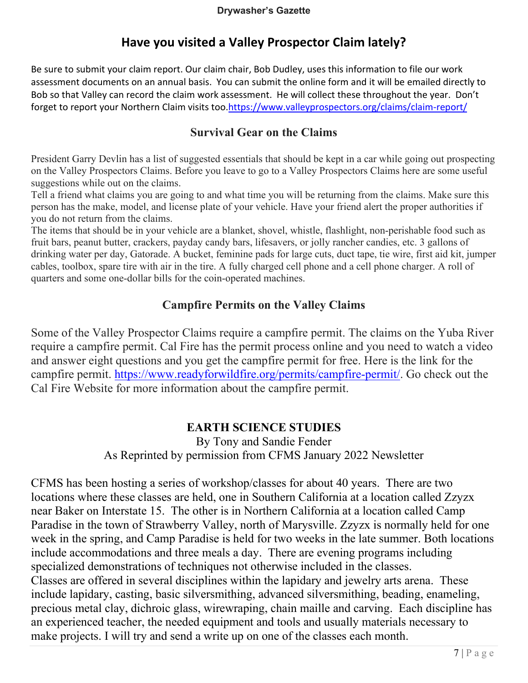## **Have you visited a Valley Prospector Claim lately?**

Be sure to submit your claim report. Our claim chair, Bob Dudley, uses this information to file our work assessment documents on an annual basis. You can submit the online form and it will be emailed directly to Bob so that Valley can record the claim work assessment. He will collect these throughout the year. Don't forget to report your Northern Claim visits too.https://www.valleyprospectors.org/claims/claim-report/

#### **Survival Gear on the Claims**

President Garry Devlin has a list of suggested essentials that should be kept in a car while going out prospecting on the Valley Prospectors Claims. Before you leave to go to a Valley Prospectors Claims here are some useful suggestions while out on the claims.

Tell a friend what claims you are going to and what time you will be returning from the claims. Make sure this person has the make, model, and license plate of your vehicle. Have your friend alert the proper authorities if you do not return from the claims.

The items that should be in your vehicle are a blanket, shovel, whistle, flashlight, non-perishable food such as fruit bars, peanut butter, crackers, payday candy bars, lifesavers, or jolly rancher candies, etc. 3 gallons of drinking water per day, Gatorade. A bucket, feminine pads for large cuts, duct tape, tie wire, first aid kit, jumper cables, toolbox, spare tire with air in the tire. A fully charged cell phone and a cell phone charger. A roll of quarters and some one-dollar bills for the coin-operated machines.

## **Campfire Permits on the Valley Claims**

Some of the Valley Prospector Claims require a campfire permit. The claims on the Yuba River require a campfire permit. Cal Fire has the permit process online and you need to watch a video and answer eight questions and you get the campfire permit for free. Here is the link for the campfire permit. [https://www.readyforwildfire.org/permits/campfire-permit/.](https://www.readyforwildfire.org/permits/campfire-permit/) Go check out the Cal Fire Website for more information about the campfire permit.

## **EARTH SCIENCE STUDIES**

By Tony and Sandie Fender As Reprinted by permission from CFMS January 2022 Newsletter

CFMS has been hosting a series of workshop/classes for about 40 years. There are two locations where these classes are held, one in Southern California at a location called Zzyzx near Baker on Interstate 15. The other is in Northern California at a location called Camp Paradise in the town of Strawberry Valley, north of Marysville. Zzyzx is normally held for one week in the spring, and Camp Paradise is held for two weeks in the late summer. Both locations include accommodations and three meals a day. There are evening programs including specialized demonstrations of techniques not otherwise included in the classes. Classes are offered in several disciplines within the lapidary and jewelry arts arena. These include lapidary, casting, basic silversmithing, advanced silversmithing, beading, enameling, precious metal clay, dichroic glass, wirewraping, chain maille and carving. Each discipline has an experienced teacher, the needed equipment and tools and usually materials necessary to make projects. I will try and send a write up on one of the classes each month.